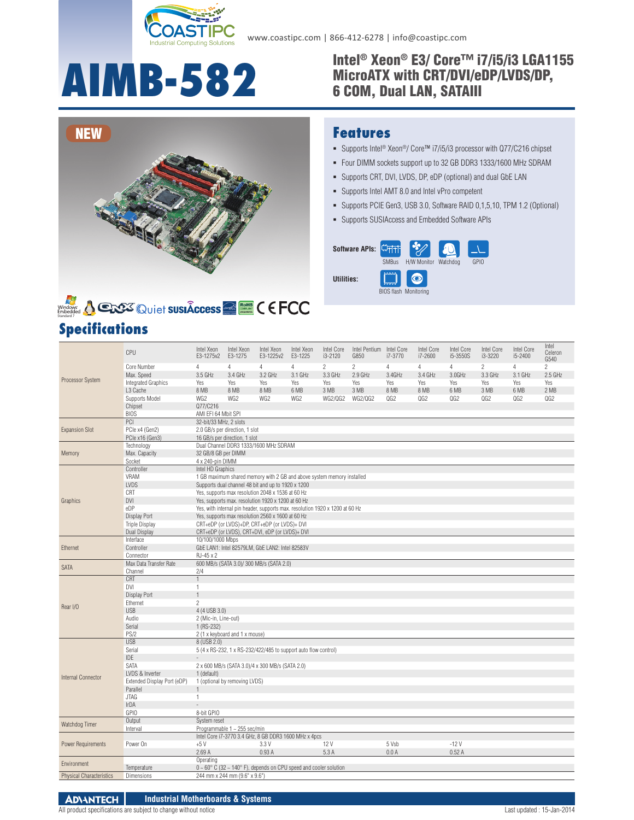

#### **AIMB-582** Intel® Xeon® E3/ Core™ i7/i5/i3 LGA1155<br>6 COM, Dual LAN, SATAIII MicroATX with CRT/DVI/eDP/LVDS/DP, 6 COM, Dual LAN, SATAIII





# **Specifications**

## **Features**

- Supports Intel<sup>®</sup> Xeon<sup>®</sup>/ Core™ i7/i5/i3 processor with Q77/C216 chipset
- Four DIMM sockets support up to 32 GB DDR3 1333/1600 MHz SDRAM
- Supports CRT, DVI, LVDS, DP, eDP (optional) and dual GbE LAN
- Supports Intel AMT 8.0 and Intel vPro competent
- Supports PCIE Gen3, USB 3.0, Software RAID 0,1,5,10, TPM 1.2 (Optional)
- Supports SUSIAccess and Embedded Software APIs

| Software APIs: | <b>SMBus</b> | H/W Monitor                  | Watchdog | GPIO |
|----------------|--------------|------------------------------|----------|------|
| Utilities:     |              | <b>BIOS flash Monitoring</b> |          |      |

|                                 | CPU                         | Intel Xeon<br>E3-1275v2                 | Intel Xeon<br>E3-1275          | Intel Xeon<br>E3-1225v2                                                                                                      | Intel Xeon<br>E3-1225 | Intel Core<br>$i3 - 2120$ | Intel Pentium Intel Core<br>G850 | i7-3770 | <b>Intel Core</b><br>i7-2600 | Intel Core<br>i5-3550S | <b>Intel Core</b><br>i3-3220 | Intel Core<br>i5-2400 | Intel<br>Celeron<br>G540 |
|---------------------------------|-----------------------------|-----------------------------------------|--------------------------------|------------------------------------------------------------------------------------------------------------------------------|-----------------------|---------------------------|----------------------------------|---------|------------------------------|------------------------|------------------------------|-----------------------|--------------------------|
| Core Number                     |                             | $\overline{4}$                          | $\overline{4}$                 | $\overline{4}$                                                                                                               | $\overline{4}$        | $\overline{c}$            | $\overline{c}$                   | 4       | $\overline{4}$               | $\overline{4}$         | $\overline{c}$               | $\overline{4}$        | $\overline{c}$           |
|                                 | Max. Speed                  | 3.5 GHz                                 | 3.4 GHz                        | 3.2 GHz                                                                                                                      | 3.1 GHz               | 3.3 GHz                   | $2.9$ GHz                        | 3.4GHz  | 3.4 GHz                      | 3.0GHz                 | 3.3 GHz                      | 3.1 GHz               | 2.5 GHz                  |
| Processor System                | <b>Integrated Graphics</b>  | Yes                                     | Yes                            | Yes                                                                                                                          | Yes                   | Yes                       | Yes                              | Yes     | Yes                          | Yes                    | Yes                          | Yes                   | Yes                      |
|                                 | L3 Cache                    | 8 MB                                    | 8 MB                           | 8 MB                                                                                                                         | 6 MB                  | 3 MB                      | 3 MB                             | 8 MB    | 8 MB                         | 6 MB                   | 3 MB                         | 6 MB                  | 2 MB                     |
|                                 | Supports Model              | WG2                                     | WG2                            | WG <sub>2</sub>                                                                                                              | WG2                   | <b>WG2/QG2</b>            | <b>WG2/QG2</b>                   | QG2     | QG2                          | QG2                    | QG2                          | QG2                   | QG2                      |
|                                 | Chipset                     | Q77/C216                                |                                |                                                                                                                              |                       |                           |                                  |         |                              |                        |                              |                       |                          |
|                                 | <b>BIOS</b>                 | AMI EFI 64 Mbit SPI                     |                                |                                                                                                                              |                       |                           |                                  |         |                              |                        |                              |                       |                          |
|                                 | PCI                         | 32-bit/33 MHz, 2 slots                  |                                |                                                                                                                              |                       |                           |                                  |         |                              |                        |                              |                       |                          |
| <b>Expansion Slot</b>           | PCle x4 (Gen2)              |                                         | 2.0 GB/s per direction, 1 slot |                                                                                                                              |                       |                           |                                  |         |                              |                        |                              |                       |                          |
|                                 | PCle x16 (Gen3)             |                                         | 16 GB/s per direction, 1 slot  |                                                                                                                              |                       |                           |                                  |         |                              |                        |                              |                       |                          |
|                                 | Technology                  | Dual Channel DDR3 1333/1600 MHz SDRAM   |                                |                                                                                                                              |                       |                           |                                  |         |                              |                        |                              |                       |                          |
| Memory                          | Max. Capacity               | 32 GB/8 GB per DIMM<br>4 x 240-pin DIMM |                                |                                                                                                                              |                       |                           |                                  |         |                              |                        |                              |                       |                          |
|                                 | Socket                      |                                         |                                |                                                                                                                              |                       |                           |                                  |         |                              |                        |                              |                       |                          |
|                                 | Controller<br><b>VRAM</b>   | Intel HD Graphics                       |                                |                                                                                                                              |                       |                           |                                  |         |                              |                        |                              |                       |                          |
|                                 | <b>LVDS</b>                 |                                         |                                | 1 GB maximum shared memory with 2 GB and above system memory installed<br>Supports dual channel 48 bit and up to 1920 x 1200 |                       |                           |                                  |         |                              |                        |                              |                       |                          |
|                                 | CRT                         |                                         |                                | Yes, supports max resolution 2048 x 1536 at 60 Hz                                                                            |                       |                           |                                  |         |                              |                        |                              |                       |                          |
| Graphics                        | <b>DVI</b>                  |                                         |                                | Yes, supports max. resolution 1920 x 1200 at 60 Hz                                                                           |                       |                           |                                  |         |                              |                        |                              |                       |                          |
|                                 | eDP                         |                                         |                                | Yes, with internal pin header, supports max. resolution 1920 x 1200 at 60 Hz                                                 |                       |                           |                                  |         |                              |                        |                              |                       |                          |
|                                 | Display Port                |                                         |                                | Yes, supports max resolution 2560 x 1600 at 60 Hz                                                                            |                       |                           |                                  |         |                              |                        |                              |                       |                          |
|                                 | <b>Triple Display</b>       |                                         |                                | CRT+eDP (or LVDS)+DP, CRT+eDP (or LVDS)+ DVI                                                                                 |                       |                           |                                  |         |                              |                        |                              |                       |                          |
|                                 | Dual Display                |                                         |                                | CRT+eDP (or LVDS), CRT+DVI, eDP (or LVDS)+ DVI                                                                               |                       |                           |                                  |         |                              |                        |                              |                       |                          |
|                                 | Interface                   | 10/100/1000 Mbps                        |                                |                                                                                                                              |                       |                           |                                  |         |                              |                        |                              |                       |                          |
| Ethernet                        | Controller                  |                                         |                                | GbE LAN1: Intel 82579LM, GbE LAN2: Intel 82583V                                                                              |                       |                           |                                  |         |                              |                        |                              |                       |                          |
|                                 | Connector                   | RJ-45 x 2                               |                                |                                                                                                                              |                       |                           |                                  |         |                              |                        |                              |                       |                          |
| <b>SATA</b>                     | Max Data Transfer Rate      |                                         |                                | 600 MB/s (SATA 3.0)/ 300 MB/s (SATA 2.0)                                                                                     |                       |                           |                                  |         |                              |                        |                              |                       |                          |
|                                 | Channel                     | 2/4                                     |                                |                                                                                                                              |                       |                           |                                  |         |                              |                        |                              |                       |                          |
|                                 | CRT                         | $\mathbf{1}$                            |                                |                                                                                                                              |                       |                           |                                  |         |                              |                        |                              |                       |                          |
|                                 | DVI                         | $\mathbf{1}$                            |                                |                                                                                                                              |                       |                           |                                  |         |                              |                        |                              |                       |                          |
|                                 | Display Port                | $\mathbf{1}$                            |                                |                                                                                                                              |                       |                           |                                  |         |                              |                        |                              |                       |                          |
| Rear I/O                        | Ethernet                    | $\overline{2}$                          |                                |                                                                                                                              |                       |                           |                                  |         |                              |                        |                              |                       |                          |
|                                 | <b>USB</b>                  | 4 (4 USB 3.0)                           |                                |                                                                                                                              |                       |                           |                                  |         |                              |                        |                              |                       |                          |
|                                 | Audio                       | 2 (Mic-in, Line-out)                    |                                |                                                                                                                              |                       |                           |                                  |         |                              |                        |                              |                       |                          |
|                                 | Serial                      | $1 (RS-232)$                            |                                |                                                                                                                              |                       |                           |                                  |         |                              |                        |                              |                       |                          |
|                                 | PS/2<br><b>USB</b>          | 8 (USB 2.0)                             | 2 (1 x keyboard and 1 x mouse) |                                                                                                                              |                       |                           |                                  |         |                              |                        |                              |                       |                          |
|                                 | Serial                      |                                         |                                | 5 (4 x RS-232, 1 x RS-232/422/485 to support auto flow control)                                                              |                       |                           |                                  |         |                              |                        |                              |                       |                          |
|                                 | <b>IDE</b>                  |                                         |                                |                                                                                                                              |                       |                           |                                  |         |                              |                        |                              |                       |                          |
|                                 | SATA                        |                                         |                                | 2 x 600 MB/s (SATA 3.0)/4 x 300 MB/s (SATA 2.0)                                                                              |                       |                           |                                  |         |                              |                        |                              |                       |                          |
|                                 | LVDS & Inverter             | 1 (default)                             |                                |                                                                                                                              |                       |                           |                                  |         |                              |                        |                              |                       |                          |
| <b>Internal Connector</b>       | Extended Display Port (eDP) |                                         | 1 (optional by removing LVDS)  |                                                                                                                              |                       |                           |                                  |         |                              |                        |                              |                       |                          |
|                                 | Parallel                    | $\mathbf{1}$                            |                                |                                                                                                                              |                       |                           |                                  |         |                              |                        |                              |                       |                          |
|                                 | <b>JTAG</b>                 | $\mathbf{1}$                            |                                |                                                                                                                              |                       |                           |                                  |         |                              |                        |                              |                       |                          |
|                                 | IrDA                        |                                         |                                |                                                                                                                              |                       |                           |                                  |         |                              |                        |                              |                       |                          |
|                                 | GPIO                        | 8-bit GPIO                              |                                |                                                                                                                              |                       |                           |                                  |         |                              |                        |                              |                       |                          |
|                                 | Output                      | System reset                            |                                |                                                                                                                              |                       |                           |                                  |         |                              |                        |                              |                       |                          |
| Watchdog Timer                  | Interval                    |                                         | Programmable 1 ~ 255 sec/min   |                                                                                                                              |                       |                           |                                  |         |                              |                        |                              |                       |                          |
|                                 |                             |                                         |                                | Intel Core i7-3770 3.4 GHz, 8 GB DDR3 1600 MHz x 4pcs                                                                        |                       |                           |                                  |         |                              |                        |                              |                       |                          |
| <b>Power Requirements</b>       | Power On                    | $+5V$                                   |                                | 3.3V                                                                                                                         |                       | 12 V                      |                                  | 5 Vsb   |                              | $-12V$                 |                              |                       |                          |
|                                 |                             | 2.69A<br>0.93A<br>5.3A<br>0.0A<br>0.52A |                                |                                                                                                                              |                       |                           |                                  |         |                              |                        |                              |                       |                          |
| Environment                     |                             | Operating                               |                                |                                                                                                                              |                       |                           |                                  |         |                              |                        |                              |                       |                          |
|                                 | Temperature                 |                                         |                                | $0 \sim 60^{\circ}$ C (32 $\sim$ 140° F), depends on CPU speed and cooler solution                                           |                       |                           |                                  |         |                              |                        |                              |                       |                          |
| <b>Physical Characteristics</b> | Dimensions                  |                                         | 244 mm x 244 mm (9.6" x 9.6")  |                                                                                                                              |                       |                           |                                  |         |                              |                        |                              |                       |                          |